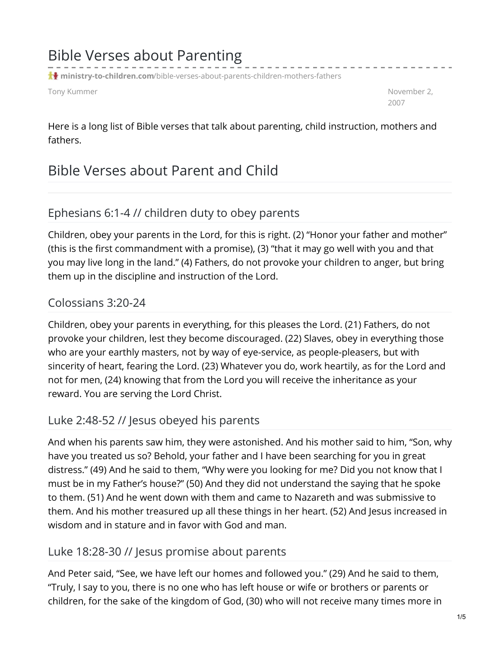# Bible Verses about Parenting

**ministry-to-children.com**[/bible-verses-about-parents-children-mothers-fathers](https://ministry-to-children.com/bible-verses-about-parents-children-mothers-fathers/)

Tony Kummer November 2, November 2, November 2, November 2, November 2, November 2, November 2, November 2, November 2, November 2, November 2, November 2, November 2, November 2, November 2, November 2, November 2, Novemb

2007

Here is a long list of Bible verses that talk about parenting, child instruction, mothers and fathers.

# Bible Verses about Parent and Child

### Ephesians 6:1-4 // children duty to obey parents

Children, obey your parents in the Lord, for this is right. (2) "Honor your father and mother" (this is the first commandment with a promise), (3) "that it may go well with you and that you may live long in the land." (4) Fathers, do not provoke your children to anger, but bring them up in the discipline and instruction of the Lord.

### Colossians 3:20-24

Children, obey your parents in everything, for this pleases the Lord. (21) Fathers, do not provoke your children, lest they become discouraged. (22) Slaves, obey in everything those who are your earthly masters, not by way of eye-service, as people-pleasers, but with sincerity of heart, fearing the Lord. (23) Whatever you do, work heartily, as for the Lord and not for men, (24) knowing that from the Lord you will receive the inheritance as your reward. You are serving the Lord Christ.

## Luke 2:48-52 // Jesus obeyed his parents

And when his parents saw him, they were astonished. And his mother said to him, "Son, why have you treated us so? Behold, your father and I have been searching for you in great distress." (49) And he said to them, "Why were you looking for me? Did you not know that I must be in my Father's house?" (50) And they did not understand the saying that he spoke to them. (51) And he went down with them and came to Nazareth and was submissive to them. And his mother treasured up all these things in her heart. (52) And Jesus increased in wisdom and in stature and in favor with God and man.

#### Luke 18:28-30 // Jesus promise about parents

And Peter said, "See, we have left our homes and followed you." (29) And he said to them, "Truly, I say to you, there is no one who has left house or wife or brothers or parents or children, for the sake of the kingdom of God, (30) who will not receive many times more in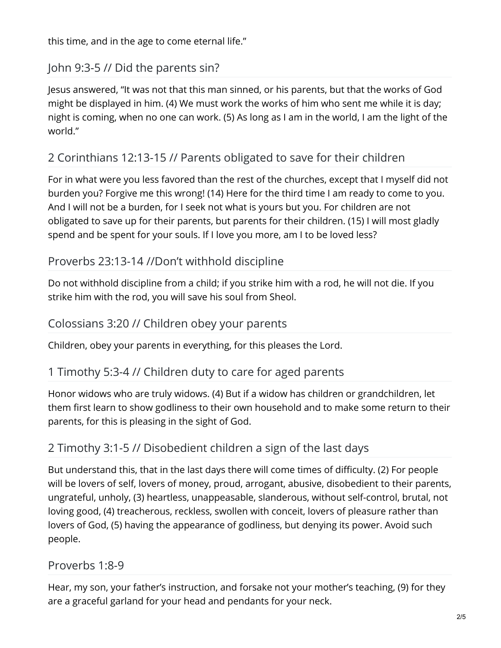this time, and in the age to come eternal life."

## John 9:3-5 // Did the parents sin?

Jesus answered, "It was not that this man sinned, or his parents, but that the works of God might be displayed in him. (4) We must work the works of him who sent me while it is day; night is coming, when no one can work. (5) As long as I am in the world, I am the light of the world."

## 2 Corinthians 12:13-15 // Parents obligated to save for their children

For in what were you less favored than the rest of the churches, except that I myself did not burden you? Forgive me this wrong! (14) Here for the third time I am ready to come to you. And I will not be a burden, for I seek not what is yours but you. For children are not obligated to save up for their parents, but parents for their children. (15) I will most gladly spend and be spent for your souls. If I love you more, am I to be loved less?

## Proverbs 23:13-14 //Don't withhold discipline

Do not withhold discipline from a child; if you strike him with a rod, he will not die. If you strike him with the rod, you will save his soul from Sheol.

### Colossians 3:20 // Children obey your parents

Children, obey your parents in everything, for this pleases the Lord.

## 1 Timothy 5:3-4 // Children duty to care for aged parents

Honor widows who are truly widows. (4) But if a widow has children or grandchildren, let them first learn to show godliness to their own household and to make some return to their parents, for this is pleasing in the sight of God.

## 2 Timothy 3:1-5 // Disobedient children a sign of the last days

But understand this, that in the last days there will come times of difficulty. (2) For people will be lovers of self, lovers of money, proud, arrogant, abusive, disobedient to their parents, ungrateful, unholy, (3) heartless, unappeasable, slanderous, without self-control, brutal, not loving good, (4) treacherous, reckless, swollen with conceit, lovers of pleasure rather than lovers of God, (5) having the appearance of godliness, but denying its power. Avoid such people.

#### Proverbs 1:8-9

Hear, my son, your father's instruction, and forsake not your mother's teaching, (9) for they are a graceful garland for your head and pendants for your neck.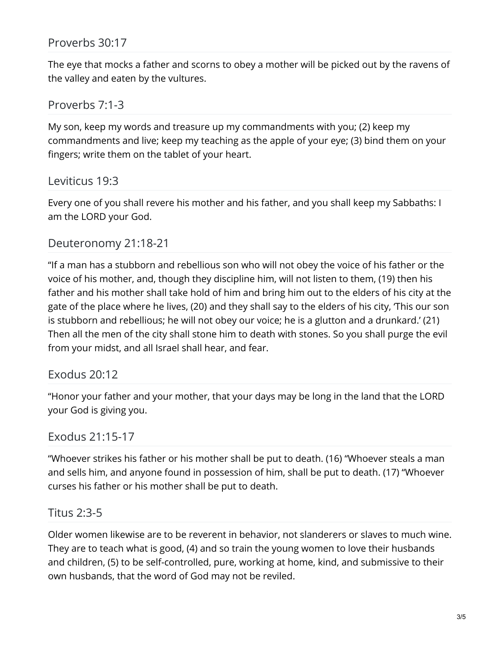The eye that mocks a father and scorns to obey a mother will be picked out by the ravens of the valley and eaten by the vultures.

#### Proverbs 7:1-3

My son, keep my words and treasure up my commandments with you; (2) keep my commandments and live; keep my teaching as the apple of your eye; (3) bind them on your fingers; write them on the tablet of your heart.

#### Leviticus 19:3

Every one of you shall revere his mother and his father, and you shall keep my Sabbaths: I am the LORD your God.

#### Deuteronomy 21:18-21

"If a man has a stubborn and rebellious son who will not obey the voice of his father or the voice of his mother, and, though they discipline him, will not listen to them, (19) then his father and his mother shall take hold of him and bring him out to the elders of his city at the gate of the place where he lives, (20) and they shall say to the elders of his city, 'This our son is stubborn and rebellious; he will not obey our voice; he is a glutton and a drunkard.' (21) Then all the men of the city shall stone him to death with stones. So you shall purge the evil from your midst, and all Israel shall hear, and fear.

#### Exodus 20:12

"Honor your father and your mother, that your days may be long in the land that the LORD your God is giving you.

#### Exodus 21:15-17

"Whoever strikes his father or his mother shall be put to death. (16) "Whoever steals a man and sells him, and anyone found in possession of him, shall be put to death. (17) "Whoever curses his father or his mother shall be put to death.

#### Titus 2:3-5

Older women likewise are to be reverent in behavior, not slanderers or slaves to much wine. They are to teach what is good, (4) and so train the young women to love their husbands and children, (5) to be self-controlled, pure, working at home, kind, and submissive to their own husbands, that the word of God may not be reviled.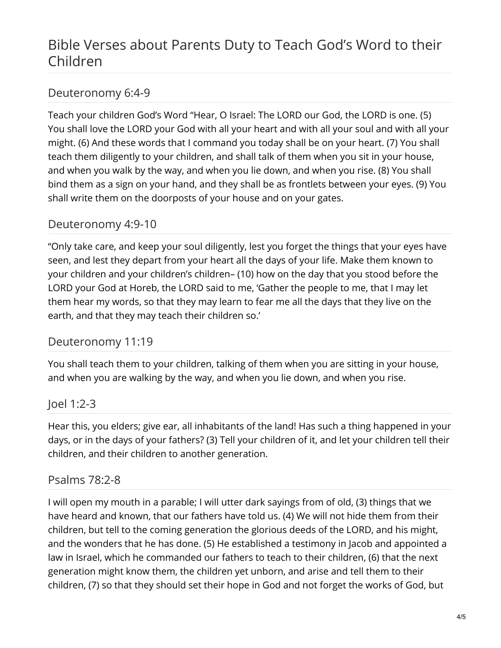# Bible Verses about Parents Duty to Teach God's Word to their Children

## Deuteronomy 6:4-9

Teach your children God's Word "Hear, O Israel: The LORD our God, the LORD is one. (5) You shall love the LORD your God with all your heart and with all your soul and with all your might. (6) And these words that I command you today shall be on your heart. (7) You shall teach them diligently to your children, and shall talk of them when you sit in your house, and when you walk by the way, and when you lie down, and when you rise. (8) You shall bind them as a sign on your hand, and they shall be as frontlets between your eyes. (9) You shall write them on the doorposts of your house and on your gates.

## Deuteronomy 4:9-10

"Only take care, and keep your soul diligently, lest you forget the things that your eyes have seen, and lest they depart from your heart all the days of your life. Make them known to your children and your children's children– (10) how on the day that you stood before the LORD your God at Horeb, the LORD said to me, 'Gather the people to me, that I may let them hear my words, so that they may learn to fear me all the days that they live on the earth, and that they may teach their children so.'

## Deuteronomy 11:19

You shall teach them to your children, talking of them when you are sitting in your house, and when you are walking by the way, and when you lie down, and when you rise.

## Joel 1:2-3

Hear this, you elders; give ear, all inhabitants of the land! Has such a thing happened in your days, or in the days of your fathers? (3) Tell your children of it, and let your children tell their children, and their children to another generation.

## Psalms 78:2-8

I will open my mouth in a parable; I will utter dark sayings from of old, (3) things that we have heard and known, that our fathers have told us. (4) We will not hide them from their children, but tell to the coming generation the glorious deeds of the LORD, and his might, and the wonders that he has done. (5) He established a testimony in Jacob and appointed a law in Israel, which he commanded our fathers to teach to their children, (6) that the next generation might know them, the children yet unborn, and arise and tell them to their children, (7) so that they should set their hope in God and not forget the works of God, but